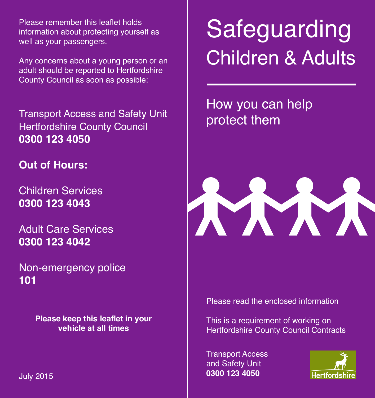Please remember this leaflet holds information about protecting yourself as well as your passengers.

Any concerns about a young person or an adult should be reported to Hertfordshire County Council as soon as possible:

Transport Access and Safety Unit Hertfordshire County Council **0300 123 4050**

**Out of Hours:**

Children Services **0300 123 4043**

Adult Care Services **0300 123 4042**

Non-emergency police **101**

> **Please keep this leaflet in your vehicle at all times**

# Safeguarding Children & Adults

How you can help protect them



Please read the enclosed information

This is a requirement of working on Hertfordshire County Council Contracts

Transport Access and Safety Unit **0300 123 4050** July 2015